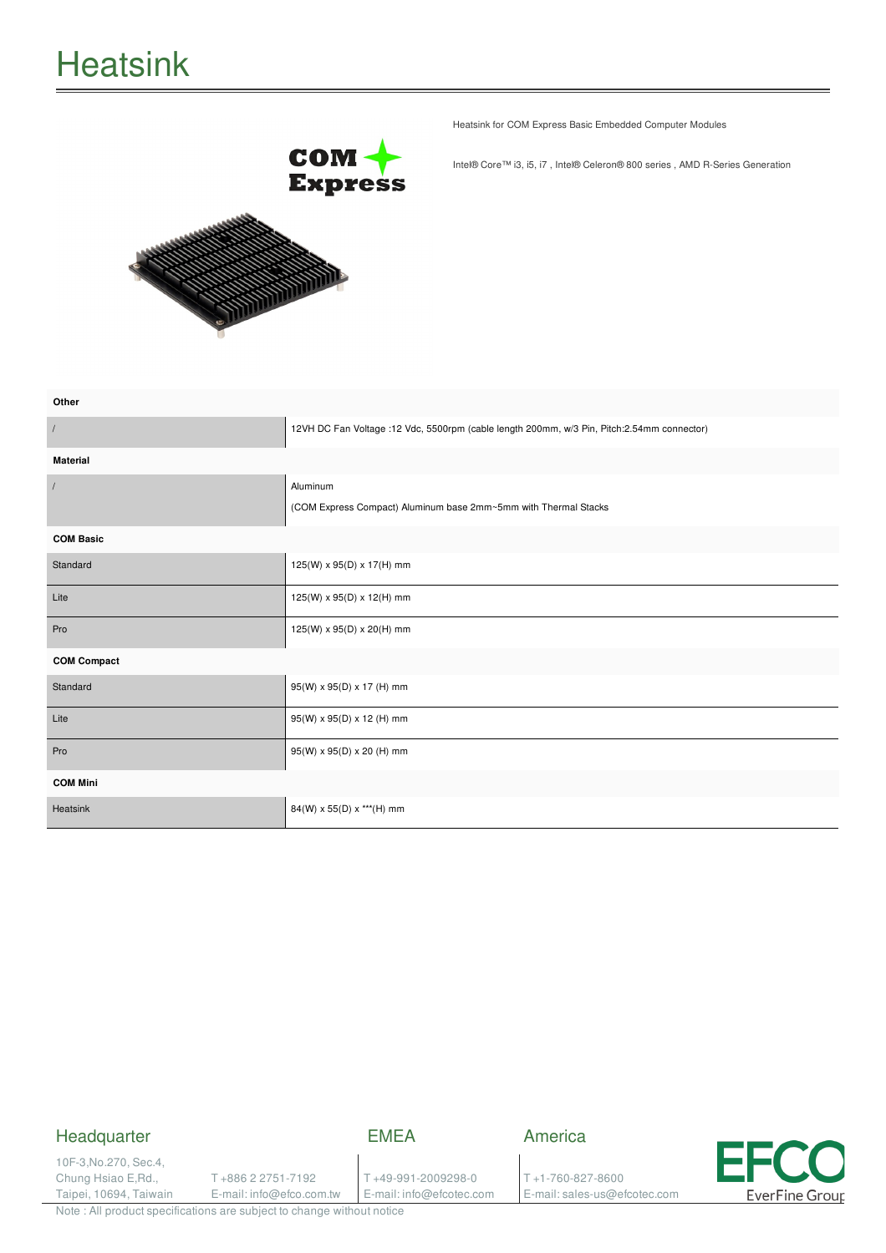

Heatsink for COM Express Basic Embedded Computer Modules

Intel® Core™ i3, i5, i7 , Intel® Celeron® 800 series , AMD R-Series Generation

| Other              |                                                                                            |
|--------------------|--------------------------------------------------------------------------------------------|
| $\sqrt{ }$         | 12VH DC Fan Voltage :12 Vdc, 5500rpm (cable length 200mm, w/3 Pin, Pitch:2.54mm connector) |
| <b>Material</b>    |                                                                                            |
|                    | Aluminum                                                                                   |
|                    | (COM Express Compact) Aluminum base 2mm~5mm with Thermal Stacks                            |
| <b>COM Basic</b>   |                                                                                            |
| Standard           | 125(W) x 95(D) x 17(H) mm                                                                  |
| Lite               | 125(W) x 95(D) x 12(H) mm                                                                  |
| Pro                | 125(W) x 95(D) x 20(H) mm                                                                  |
| <b>COM Compact</b> |                                                                                            |
| Standard           | 95(W) x 95(D) x 17 (H) mm                                                                  |
| Lite               | 95(W) x 95(D) x 12 (H) mm                                                                  |
| Pro                | 95(W) x 95(D) x 20 (H) mm                                                                  |
| <b>COM Mini</b>    |                                                                                            |
| Heatsink           | 84(W) x 55(D) x *** (H) mm                                                                 |

## Headquarter

EMEA

America

10F-3,No.270, Sec.4, Chung Hsiao E,Rd., Taipei, 10694, Taiwain

T +886 2 2751-7192 E-mail: info@efco.com.tw

T +49-991-2009298-0 E-mail: info@efcotec.com T +1-760-827-8600 E-mail: sales-us@efcotec.com



Note : All product specifications are subject to change without notice